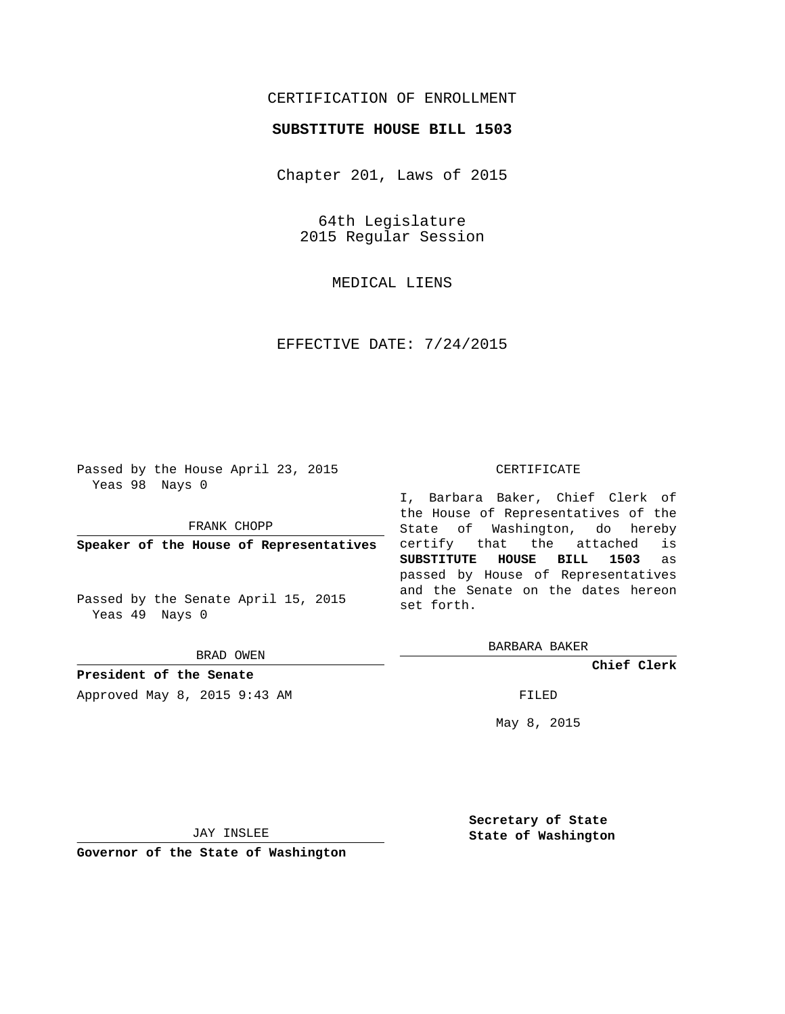## CERTIFICATION OF ENROLLMENT

## **SUBSTITUTE HOUSE BILL 1503**

Chapter 201, Laws of 2015

64th Legislature 2015 Regular Session

MEDICAL LIENS

EFFECTIVE DATE: 7/24/2015

Passed by the House April 23, 2015 Yeas 98 Nays 0

FRANK CHOPP

**Speaker of the House of Representatives**

Passed by the Senate April 15, 2015 Yeas 49 Nays 0

BRAD OWEN

**President of the Senate**

Approved May 8, 2015 9:43 AM FILED

#### CERTIFICATE

I, Barbara Baker, Chief Clerk of the House of Representatives of the State of Washington, do hereby certify that the attached is **SUBSTITUTE HOUSE BILL 1503** as passed by House of Representatives and the Senate on the dates hereon set forth.

BARBARA BAKER

**Chief Clerk**

May 8, 2015

JAY INSLEE

**Governor of the State of Washington**

**Secretary of State State of Washington**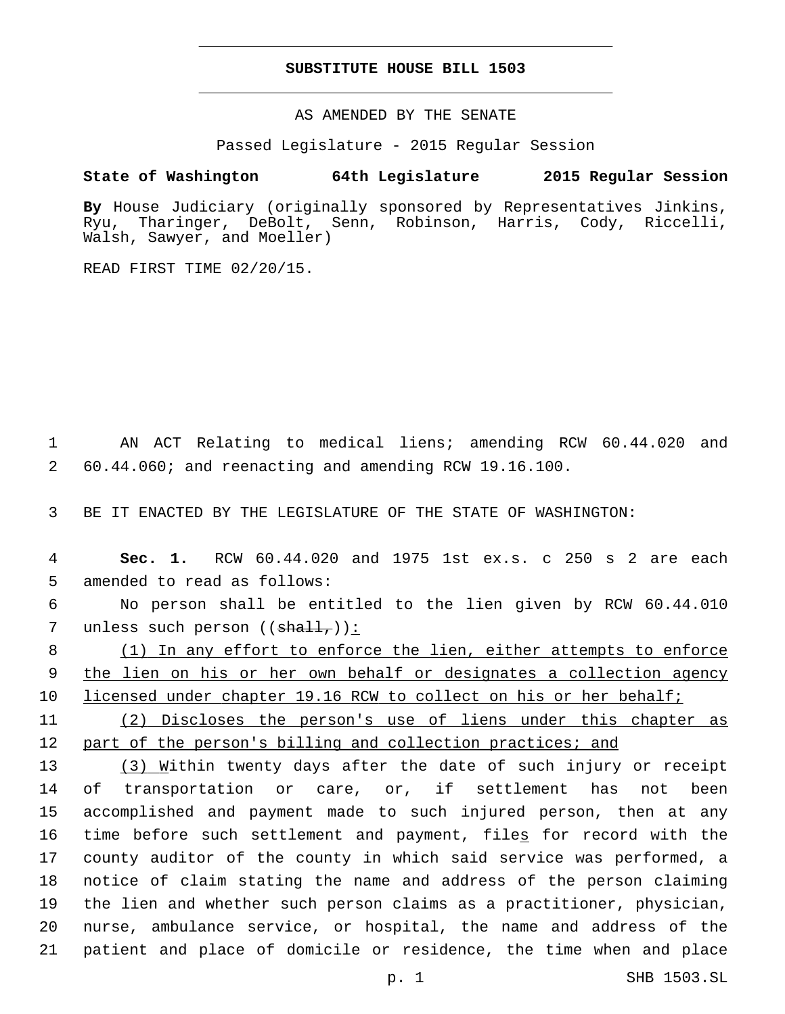## **SUBSTITUTE HOUSE BILL 1503**

AS AMENDED BY THE SENATE

Passed Legislature - 2015 Regular Session

# **State of Washington 64th Legislature 2015 Regular Session**

**By** House Judiciary (originally sponsored by Representatives Jinkins, Ryu, Tharinger, DeBolt, Senn, Robinson, Harris, Cody, Riccelli, Walsh, Sawyer, and Moeller)

READ FIRST TIME 02/20/15.

1 AN ACT Relating to medical liens; amending RCW 60.44.020 and 2 60.44.060; and reenacting and amending RCW 19.16.100.

3 BE IT ENACTED BY THE LEGISLATURE OF THE STATE OF WASHINGTON:

4 **Sec. 1.** RCW 60.44.020 and 1975 1st ex.s. c 250 s 2 are each 5 amended to read as follows:

6 No person shall be entitled to the lien given by RCW 60.44.010 7 unless such person  $((\text{shall}_t))$ :

8 (1) In any effort to enforce the lien, either attempts to enforce 9 the lien on his or her own behalf or designates a collection agency 10 licensed under chapter 19.16 RCW to collect on his or her behalf;

11 (2) Discloses the person's use of liens under this chapter as 12 part of the person's billing and collection practices; and

13 (3) Within twenty days after the date of such injury or receipt of transportation or care, or, if settlement has not been accomplished and payment made to such injured person, then at any 16 time before such settlement and payment, files for record with the county auditor of the county in which said service was performed, a notice of claim stating the name and address of the person claiming the lien and whether such person claims as a practitioner, physician, nurse, ambulance service, or hospital, the name and address of the patient and place of domicile or residence, the time when and place

p. 1 SHB 1503.SL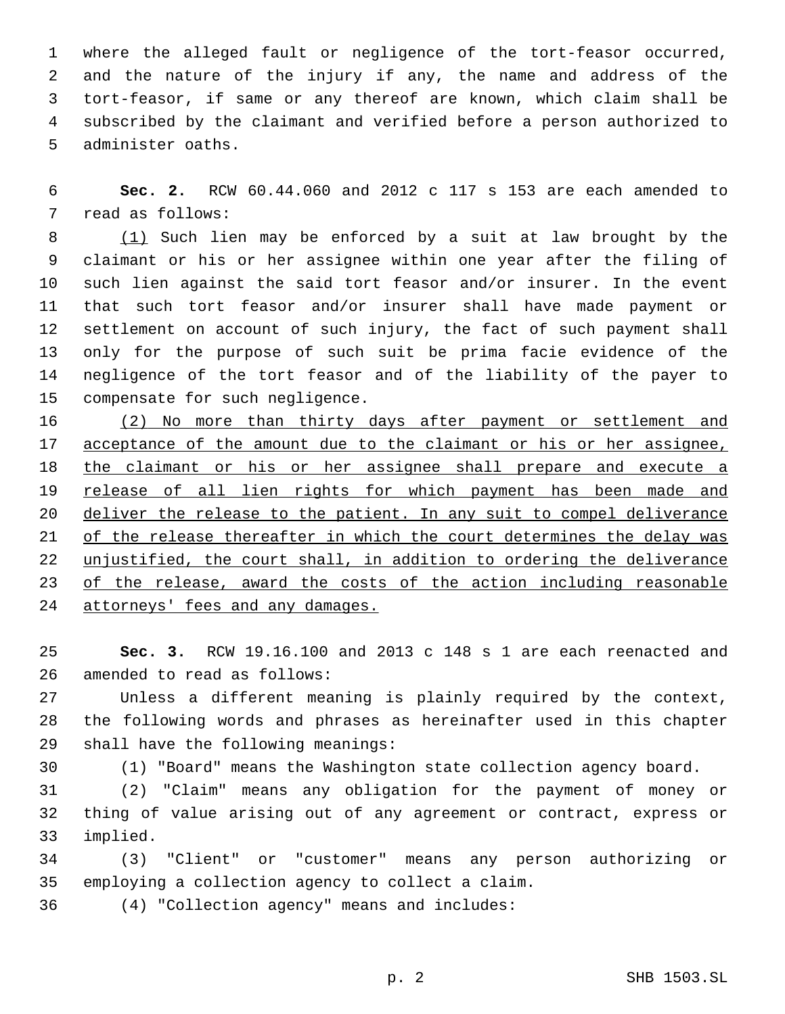where the alleged fault or negligence of the tort-feasor occurred, and the nature of the injury if any, the name and address of the tort-feasor, if same or any thereof are known, which claim shall be subscribed by the claimant and verified before a person authorized to 5 administer oaths.

 **Sec. 2.** RCW 60.44.060 and 2012 c 117 s 153 are each amended to 7 read as follows:

 (1) Such lien may be enforced by a suit at law brought by the claimant or his or her assignee within one year after the filing of such lien against the said tort feasor and/or insurer. In the event that such tort feasor and/or insurer shall have made payment or settlement on account of such injury, the fact of such payment shall only for the purpose of such suit be prima facie evidence of the negligence of the tort feasor and of the liability of the payer to 15 compensate for such negligence.

 (2) No more than thirty days after payment or settlement and 17 acceptance of the amount due to the claimant or his or her assignee, the claimant or his or her assignee shall prepare and execute a release of all lien rights for which payment has been made and deliver the release to the patient. In any suit to compel deliverance of the release thereafter in which the court determines the delay was unjustified, the court shall, in addition to ordering the deliverance 23 of the release, award the costs of the action including reasonable attorneys' fees and any damages.

 **Sec. 3.** RCW 19.16.100 and 2013 c 148 s 1 are each reenacted and 26 amended to read as follows:

 Unless a different meaning is plainly required by the context, the following words and phrases as hereinafter used in this chapter 29 shall have the following meanings:

(1) "Board" means the Washington state collection agency board.

 (2) "Claim" means any obligation for the payment of money or thing of value arising out of any agreement or contract, express or 33 implied.

 (3) "Client" or "customer" means any person authorizing or 35 employing a collection agency to collect a claim.

(4) "Collection agency" means and includes:36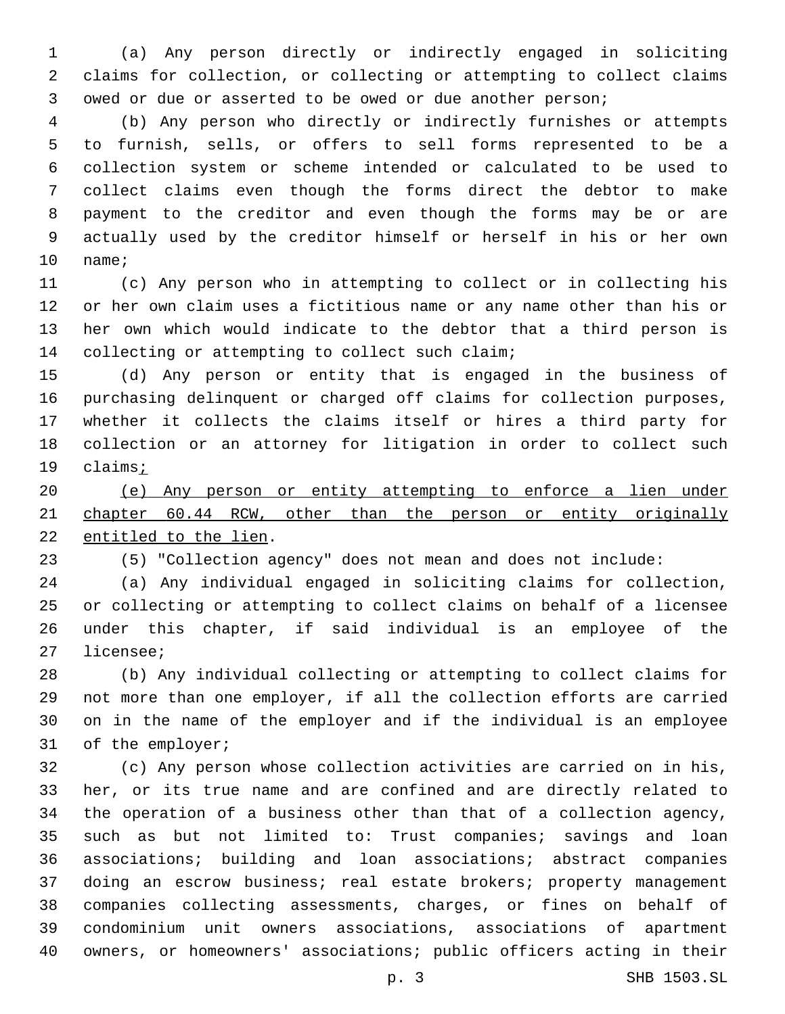(a) Any person directly or indirectly engaged in soliciting claims for collection, or collecting or attempting to collect claims owed or due or asserted to be owed or due another person;

 (b) Any person who directly or indirectly furnishes or attempts to furnish, sells, or offers to sell forms represented to be a collection system or scheme intended or calculated to be used to collect claims even though the forms direct the debtor to make payment to the creditor and even though the forms may be or are actually used by the creditor himself or herself in his or her own 10 name;

 (c) Any person who in attempting to collect or in collecting his or her own claim uses a fictitious name or any name other than his or her own which would indicate to the debtor that a third person is 14 collecting or attempting to collect such claim;

 (d) Any person or entity that is engaged in the business of purchasing delinquent or charged off claims for collection purposes, whether it collects the claims itself or hires a third party for collection or an attorney for litigation in order to collect such claims;

 (e) Any person or entity attempting to enforce a lien under chapter 60.44 RCW, other than the person or entity originally 22 entitled to the lien.

(5) "Collection agency" does not mean and does not include:

 (a) Any individual engaged in soliciting claims for collection, or collecting or attempting to collect claims on behalf of a licensee under this chapter, if said individual is an employee of the 27 licensee;

 (b) Any individual collecting or attempting to collect claims for not more than one employer, if all the collection efforts are carried on in the name of the employer and if the individual is an employee 31 of the employer;

 (c) Any person whose collection activities are carried on in his, her, or its true name and are confined and are directly related to the operation of a business other than that of a collection agency, such as but not limited to: Trust companies; savings and loan associations; building and loan associations; abstract companies doing an escrow business; real estate brokers; property management companies collecting assessments, charges, or fines on behalf of condominium unit owners associations, associations of apartment owners, or homeowners' associations; public officers acting in their